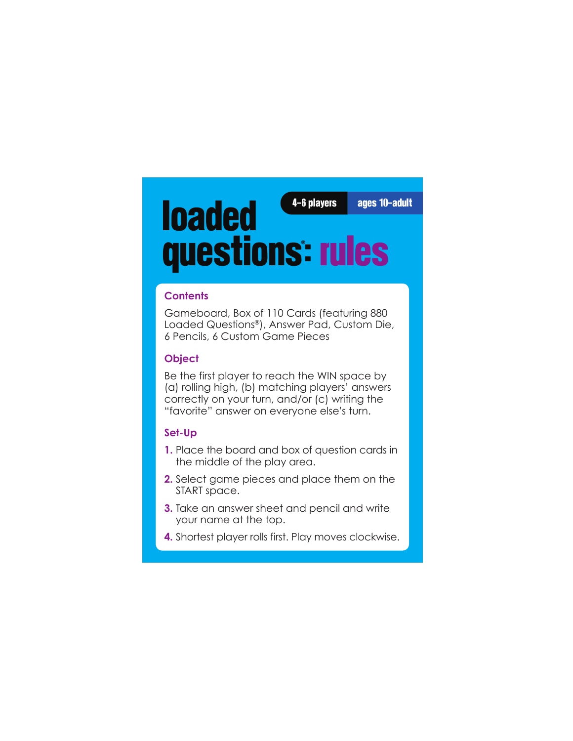4-6 players ages 10-adult

# loaded questions **®** : rules

#### **Contents**

Gameboard, Box of 110 Cards (featuring 880 Loaded Questions®), Answer Pad, Custom Die, 6 Pencils, 6 Custom Game Pieces

#### **Object**

Be the first player to reach the WIN space by (a) rolling high, (b) matching players' answers correctly on your turn, and/or (c) writing the "favorite" answer on everyone else's turn.

#### **Set-Up**

- **1.** Place the board and box of question cards in the middle of the play area.
- **2.** Select game pieces and place them on the START space.
- **3.** Take an answer sheet and pencil and write your name at the top.
- **4.** Shortest player rolls first. Play moves clockwise.